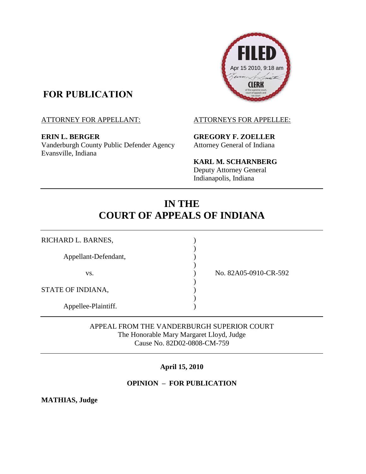## **FOR PUBLICATION**

**ERIN L. BERGER GREGORY F. ZOELLER** Vanderburgh County Public Defender Agency Attorney General of Indiana Evansville, Indiana



**KARL M. SCHARNBERG** Deputy Attorney General Indianapolis, Indiana

# **IN THE COURT OF APPEALS OF INDIANA**

)

)

)

)

RICHARD L. BARNES, Appellant-Defendant, vs. ) No. 82A05-0910-CR-592 STATE OF INDIANA, Appellee-Plaintiff.

APPEAL FROM THE VANDERBURGH SUPERIOR COURT The Honorable Mary Margaret Lloyd, Judge Cause No. 82D02-0808-CM-759

### **April 15, 2010**

### **OPINION – FOR PUBLICATION**

**MATHIAS, Judge** 

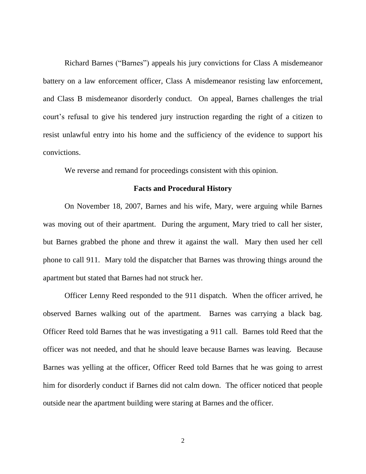Richard Barnes ("Barnes") appeals his jury convictions for Class A misdemeanor battery on a law enforcement officer, Class A misdemeanor resisting law enforcement, and Class B misdemeanor disorderly conduct. On appeal, Barnes challenges the trial court's refusal to give his tendered jury instruction regarding the right of a citizen to resist unlawful entry into his home and the sufficiency of the evidence to support his convictions.

We reverse and remand for proceedings consistent with this opinion.

#### **Facts and Procedural History**

On November 18, 2007, Barnes and his wife, Mary, were arguing while Barnes was moving out of their apartment. During the argument, Mary tried to call her sister, but Barnes grabbed the phone and threw it against the wall. Mary then used her cell phone to call 911. Mary told the dispatcher that Barnes was throwing things around the apartment but stated that Barnes had not struck her.

Officer Lenny Reed responded to the 911 dispatch. When the officer arrived, he observed Barnes walking out of the apartment. Barnes was carrying a black bag. Officer Reed told Barnes that he was investigating a 911 call. Barnes told Reed that the officer was not needed, and that he should leave because Barnes was leaving. Because Barnes was yelling at the officer, Officer Reed told Barnes that he was going to arrest him for disorderly conduct if Barnes did not calm down. The officer noticed that people outside near the apartment building were staring at Barnes and the officer.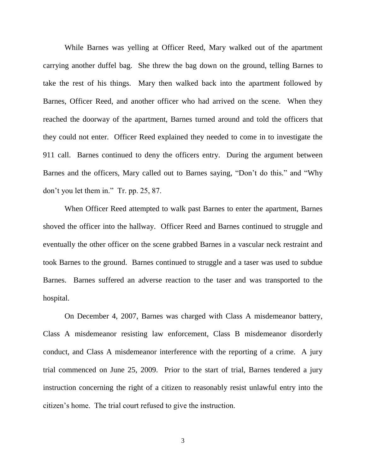While Barnes was yelling at Officer Reed, Mary walked out of the apartment carrying another duffel bag. She threw the bag down on the ground, telling Barnes to take the rest of his things. Mary then walked back into the apartment followed by Barnes, Officer Reed, and another officer who had arrived on the scene. When they reached the doorway of the apartment, Barnes turned around and told the officers that they could not enter. Officer Reed explained they needed to come in to investigate the 911 call. Barnes continued to deny the officers entry. During the argument between Barnes and the officers, Mary called out to Barnes saying, "Don"t do this." and "Why don"t you let them in." Tr. pp. 25, 87.

When Officer Reed attempted to walk past Barnes to enter the apartment, Barnes shoved the officer into the hallway. Officer Reed and Barnes continued to struggle and eventually the other officer on the scene grabbed Barnes in a vascular neck restraint and took Barnes to the ground. Barnes continued to struggle and a taser was used to subdue Barnes. Barnes suffered an adverse reaction to the taser and was transported to the hospital.

On December 4, 2007, Barnes was charged with Class A misdemeanor battery, Class A misdemeanor resisting law enforcement, Class B misdemeanor disorderly conduct, and Class A misdemeanor interference with the reporting of a crime. A jury trial commenced on June 25, 2009. Prior to the start of trial, Barnes tendered a jury instruction concerning the right of a citizen to reasonably resist unlawful entry into the citizen"s home. The trial court refused to give the instruction.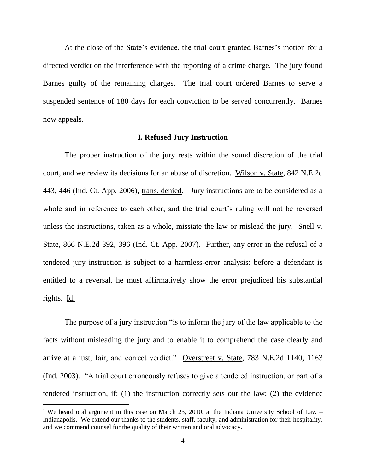At the close of the State's evidence, the trial court granted Barnes's motion for a directed verdict on the interference with the reporting of a crime charge. The jury found Barnes guilty of the remaining charges. The trial court ordered Barnes to serve a suspended sentence of 180 days for each conviction to be served concurrently. Barnes now appeals. $<sup>1</sup>$ </sup>

#### **I. Refused Jury Instruction**

The proper instruction of the jury rests within the sound discretion of the trial court, and we review its decisions for an abuse of discretion. Wilson v. State, 842 N.E.2d 443, 446 (Ind. Ct. App. 2006), trans. denied*.* Jury instructions are to be considered as a whole and in reference to each other, and the trial court's ruling will not be reversed unless the instructions, taken as a whole, misstate the law or mislead the jury. Snell v. State, 866 N.E.2d 392, 396 (Ind. Ct. App. 2007). Further, any error in the refusal of a tendered jury instruction is subject to a harmless-error analysis: before a defendant is entitled to a reversal, he must affirmatively show the error prejudiced his substantial rights. Id.

The purpose of a jury instruction "is to inform the jury of the law applicable to the facts without misleading the jury and to enable it to comprehend the case clearly and arrive at a just, fair, and correct verdict." Overstreet v. State, 783 N.E.2d 1140, 1163 (Ind. 2003). "A trial court erroneously refuses to give a tendered instruction, or part of a tendered instruction, if: (1) the instruction correctly sets out the law; (2) the evidence

 $\overline{a}$ 

<sup>&</sup>lt;sup>1</sup> We heard oral argument in this case on March 23, 2010, at the Indiana University School of Law  $-$ Indianapolis. We extend our thanks to the students, staff, faculty, and administration for their hospitality, and we commend counsel for the quality of their written and oral advocacy.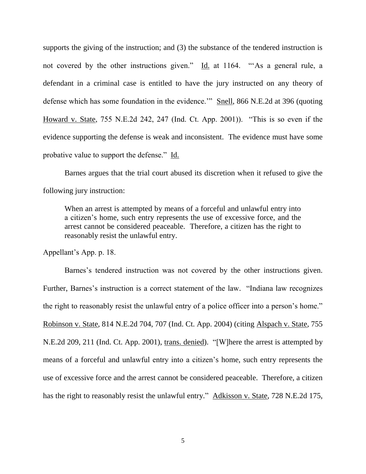supports the giving of the instruction; and (3) the substance of the tendered instruction is not covered by the other instructions given." Id. at 1164. "As a general rule, a defendant in a criminal case is entitled to have the jury instructed on any theory of defense which has some foundation in the evidence."" Snell, 866 N.E.2d at 396 (quoting Howard v. State, 755 N.E.2d 242, 247 (Ind. Ct. App. 2001)). "This is so even if the evidence supporting the defense is weak and inconsistent. The evidence must have some probative value to support the defense." Id.

Barnes argues that the trial court abused its discretion when it refused to give the following jury instruction:

When an arrest is attempted by means of a forceful and unlawful entry into a citizen"s home, such entry represents the use of excessive force, and the arrest cannot be considered peaceable. Therefore, a citizen has the right to reasonably resist the unlawful entry.

Appellant"s App. p. 18.

Barnes's tendered instruction was not covered by the other instructions given. Further, Barnes's instruction is a correct statement of the law. "Indiana law recognizes the right to reasonably resist the unlawful entry of a police officer into a person"s home." Robinson v. State, 814 N.E.2d 704, 707 (Ind. Ct. App. 2004) (citing Alspach v. State, 755 N.E.2d 209, 211 (Ind. Ct. App. 2001), trans. denied). "[W]here the arrest is attempted by means of a forceful and unlawful entry into a citizen"s home, such entry represents the use of excessive force and the arrest cannot be considered peaceable. Therefore, a citizen has the right to reasonably resist the unlawful entry." Adkisson v. State, 728 N.E.2d 175,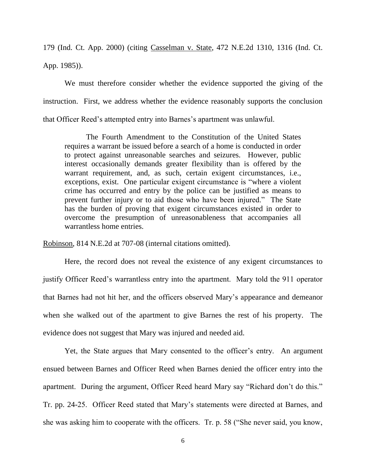179 (Ind. Ct. App. 2000) (citing Casselman v. State, 472 N.E.2d 1310, 1316 (Ind. Ct. App. 1985)).

We must therefore consider whether the evidence supported the giving of the instruction. First, we address whether the evidence reasonably supports the conclusion that Officer Reed"s attempted entry into Barnes"s apartment was unlawful.

The Fourth Amendment to the Constitution of the United States requires a warrant be issued before a search of a home is conducted in order to protect against unreasonable searches and seizures. However, public interest occasionally demands greater flexibility than is offered by the warrant requirement, and, as such, certain exigent circumstances, i.e., exceptions, exist. One particular exigent circumstance is "where a violent crime has occurred and entry by the police can be justified as means to prevent further injury or to aid those who have been injured." The State has the burden of proving that exigent circumstances existed in order to overcome the presumption of unreasonableness that accompanies all warrantless home entries.

Robinson, 814 N.E.2d at 707-08 (internal citations omitted).

Here, the record does not reveal the existence of any exigent circumstances to justify Officer Reed's warrantless entry into the apartment. Mary told the 911 operator that Barnes had not hit her, and the officers observed Mary"s appearance and demeanor when she walked out of the apartment to give Barnes the rest of his property. The evidence does not suggest that Mary was injured and needed aid.

Yet, the State argues that Mary consented to the officer's entry. An argument ensued between Barnes and Officer Reed when Barnes denied the officer entry into the apartment. During the argument, Officer Reed heard Mary say "Richard don"t do this." Tr. pp. 24-25. Officer Reed stated that Mary"s statements were directed at Barnes, and she was asking him to cooperate with the officers. Tr. p. 58 ("She never said, you know,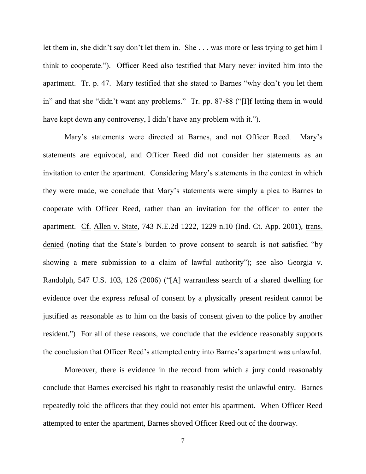let them in, she didn't say don't let them in. She . . . was more or less trying to get him I think to cooperate."). Officer Reed also testified that Mary never invited him into the apartment. Tr. p. 47. Mary testified that she stated to Barnes "why don"t you let them in" and that she "didn"t want any problems." Tr. pp. 87-88 ("[I]f letting them in would have kept down any controversy, I didn't have any problem with it.").

Mary"s statements were directed at Barnes, and not Officer Reed. Mary"s statements are equivocal, and Officer Reed did not consider her statements as an invitation to enter the apartment. Considering Mary"s statements in the context in which they were made, we conclude that Mary"s statements were simply a plea to Barnes to cooperate with Officer Reed, rather than an invitation for the officer to enter the apartment. Cf. Allen v. State, 743 N.E.2d 1222, 1229 n.10 (Ind. Ct. App. 2001), trans. denied (noting that the State"s burden to prove consent to search is not satisfied "by showing a mere submission to a claim of lawful authority"); see also Georgia v. Randolph, 547 U.S. 103, 126 (2006) ("[A] warrantless search of a shared dwelling for evidence over the express refusal of consent by a physically present resident cannot be justified as reasonable as to him on the basis of consent given to the police by another resident.") For all of these reasons, we conclude that the evidence reasonably supports the conclusion that Officer Reed's attempted entry into Barnes's apartment was unlawful.

Moreover, there is evidence in the record from which a jury could reasonably conclude that Barnes exercised his right to reasonably resist the unlawful entry. Barnes repeatedly told the officers that they could not enter his apartment. When Officer Reed attempted to enter the apartment, Barnes shoved Officer Reed out of the doorway.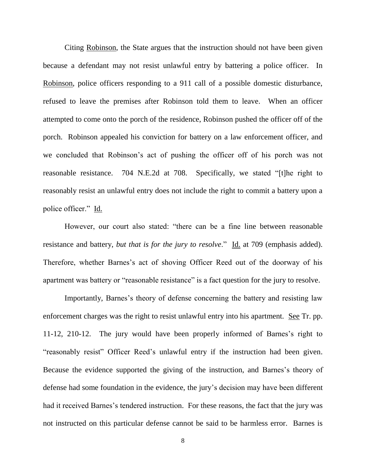Citing Robinson, the State argues that the instruction should not have been given because a defendant may not resist unlawful entry by battering a police officer. In Robinson, police officers responding to a 911 call of a possible domestic disturbance, refused to leave the premises after Robinson told them to leave. When an officer attempted to come onto the porch of the residence, Robinson pushed the officer off of the porch. Robinson appealed his conviction for battery on a law enforcement officer, and we concluded that Robinson"s act of pushing the officer off of his porch was not reasonable resistance. 704 N.E.2d at 708. Specifically, we stated "[t]he right to reasonably resist an unlawful entry does not include the right to commit a battery upon a police officer." Id.

However, our court also stated: "there can be a fine line between reasonable resistance and battery, *but that is for the jury to resolve*." Id. at 709 (emphasis added). Therefore, whether Barnes's act of shoving Officer Reed out of the doorway of his apartment was battery or "reasonable resistance" is a fact question for the jury to resolve.

Importantly, Barnes's theory of defense concerning the battery and resisting law enforcement charges was the right to resist unlawful entry into his apartment. See Tr. pp. 11-12, 210-12. The jury would have been properly informed of Barnes"s right to "reasonably resist" Officer Reed's unlawful entry if the instruction had been given. Because the evidence supported the giving of the instruction, and Barnes's theory of defense had some foundation in the evidence, the jury"s decision may have been different had it received Barnes's tendered instruction. For these reasons, the fact that the jury was not instructed on this particular defense cannot be said to be harmless error. Barnes is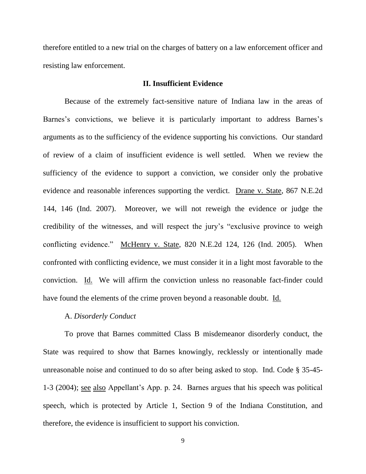therefore entitled to a new trial on the charges of battery on a law enforcement officer and resisting law enforcement.

#### **II. Insufficient Evidence**

Because of the extremely fact-sensitive nature of Indiana law in the areas of Barnes's convictions, we believe it is particularly important to address Barnes's arguments as to the sufficiency of the evidence supporting his convictions. Our standard of review of a claim of insufficient evidence is well settled. When we review the sufficiency of the evidence to support a conviction, we consider only the probative evidence and reasonable inferences supporting the verdict. Drane v. State, 867 N.E.2d 144, 146 (Ind. 2007). Moreover, we will not reweigh the evidence or judge the credibility of the witnesses, and will respect the jury"s "exclusive province to weigh conflicting evidence." McHenry v. State, 820 N.E.2d 124, 126 (Ind. 2005). When confronted with conflicting evidence, we must consider it in a light most favorable to the conviction. Id. We will affirm the conviction unless no reasonable fact-finder could have found the elements of the crime proven beyond a reasonable doubt. Id.

#### A. *Disorderly Conduct*

To prove that Barnes committed Class B misdemeanor disorderly conduct, the State was required to show that Barnes knowingly, recklessly or intentionally made unreasonable noise and continued to do so after being asked to stop. Ind. Code § 35-45- 1-3 (2004); see also Appellant"s App. p. 24. Barnes argues that his speech was political speech, which is protected by Article 1, Section 9 of the Indiana Constitution, and therefore, the evidence is insufficient to support his conviction.

9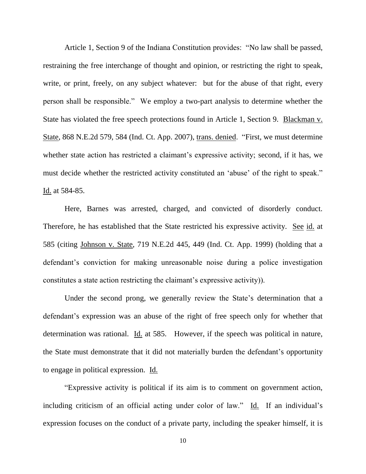Article 1, Section 9 of the Indiana Constitution provides: "No law shall be passed, restraining the free interchange of thought and opinion, or restricting the right to speak, write, or print, freely, on any subject whatever: but for the abuse of that right, every person shall be responsible." We employ a two-part analysis to determine whether the State has violated the free speech protections found in Article 1, Section 9. Blackman v. State, 868 N.E.2d 579, 584 (Ind. Ct. App. 2007), trans. denied. "First, we must determine whether state action has restricted a claimant's expressive activity; second, if it has, we must decide whether the restricted activity constituted an 'abuse' of the right to speak." Id. at 584-85.

Here, Barnes was arrested, charged, and convicted of disorderly conduct. Therefore, he has established that the State restricted his expressive activity. See id. at 585 (citing Johnson v. State, 719 N.E.2d 445, 449 (Ind. Ct. App. 1999) (holding that a defendant's conviction for making unreasonable noise during a police investigation constitutes a state action restricting the claimant"s expressive activity)).

Under the second prong, we generally review the State's determination that a defendant's expression was an abuse of the right of free speech only for whether that determination was rational. Id. at 585. However, if the speech was political in nature, the State must demonstrate that it did not materially burden the defendant"s opportunity to engage in political expression. Id.

"Expressive activity is political if its aim is to comment on government action, including criticism of an official acting under color of law." Id. If an individual's expression focuses on the conduct of a private party, including the speaker himself, it is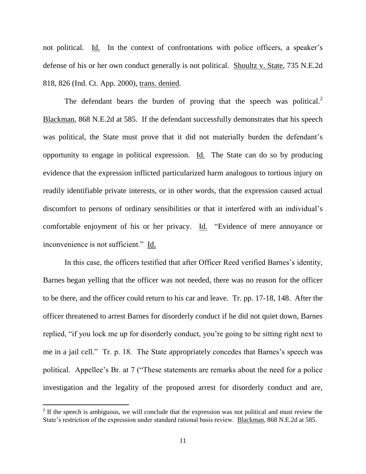not political. Id. In the context of confrontations with police officers, a speaker's defense of his or her own conduct generally is not political. Shoultz v. State, 735 N.E.2d 818, 826 (Ind. Ct. App. 2000), trans. denied.

The defendant bears the burden of proving that the speech was political. $2$ Blackman, 868 N.E.2d at 585. If the defendant successfully demonstrates that his speech was political, the State must prove that it did not materially burden the defendant's opportunity to engage in political expression. Id. The State can do so by producing evidence that the expression inflicted particularized harm analogous to tortious injury on readily identifiable private interests, or in other words, that the expression caused actual discomfort to persons of ordinary sensibilities or that it interfered with an individual"s comfortable enjoyment of his or her privacy. Id. "Evidence of mere annoyance or inconvenience is not sufficient." Id.

In this case, the officers testified that after Officer Reed verified Barnes"s identity, Barnes began yelling that the officer was not needed, there was no reason for the officer to be there, and the officer could return to his car and leave. Tr. pp. 17-18, 148. After the officer threatened to arrest Barnes for disorderly conduct if he did not quiet down, Barnes replied, "if you lock me up for disorderly conduct, you"re going to be sitting right next to me in a jail cell." Tr. p. 18. The State appropriately concedes that Barnes's speech was political. Appellee"s Br. at 7 ("These statements are remarks about the need for a police investigation and the legality of the proposed arrest for disorderly conduct and are,

 $\overline{a}$ 

<sup>&</sup>lt;sup>2</sup> If the speech is ambiguous, we will conclude that the expression was not political and must review the State's restriction of the expression under standard rational basis review. Blackman, 868 N.E.2d at 585.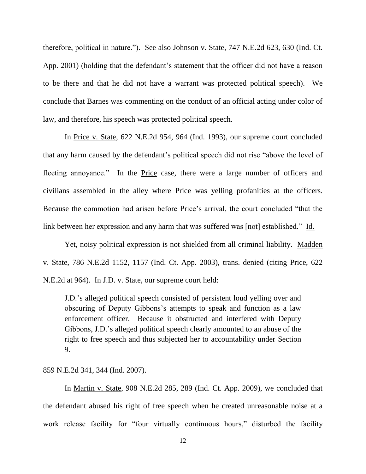therefore, political in nature."). See also Johnson v. State, 747 N.E.2d 623, 630 (Ind. Ct. App. 2001) (holding that the defendant's statement that the officer did not have a reason to be there and that he did not have a warrant was protected political speech). We conclude that Barnes was commenting on the conduct of an official acting under color of law, and therefore, his speech was protected political speech.

In Price v. State, 622 N.E.2d 954, 964 (Ind. 1993), our supreme court concluded that any harm caused by the defendant"s political speech did not rise "above the level of fleeting annoyance." In the <u>Price</u> case, there were a large number of officers and civilians assembled in the alley where Price was yelling profanities at the officers. Because the commotion had arisen before Price"s arrival, the court concluded "that the link between her expression and any harm that was suffered was [not] established." Id.

Yet, noisy political expression is not shielded from all criminal liability. Madden v. State, 786 N.E.2d 1152, 1157 (Ind. Ct. App. 2003), trans. denied (citing Price, 622 N.E.2d at 964). In J.D. v. State, our supreme court held:

J.D."s alleged political speech consisted of persistent loud yelling over and obscuring of Deputy Gibbons's attempts to speak and function as a law enforcement officer. Because it obstructed and interfered with Deputy Gibbons, J.D."s alleged political speech clearly amounted to an abuse of the right to free speech and thus subjected her to accountability under Section 9.

#### 859 N.E.2d 341, 344 (Ind. 2007).

In Martin v. State, 908 N.E.2d 285, 289 (Ind. Ct. App. 2009), we concluded that the defendant abused his right of free speech when he created unreasonable noise at a work release facility for "four virtually continuous hours," disturbed the facility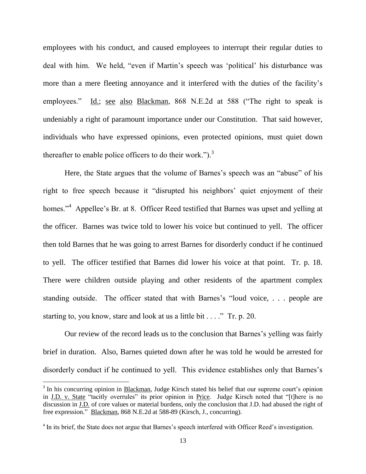employees with his conduct, and caused employees to interrupt their regular duties to deal with him. We held, "even if Martin"s speech was "political" his disturbance was more than a mere fleeting annoyance and it interfered with the duties of the facility's employees." Id.; see also Blackman, 868 N.E.2d at 588 ("The right to speak is undeniably a right of paramount importance under our Constitution. That said however, individuals who have expressed opinions, even protected opinions, must quiet down thereafter to enable police officers to do their work." $)$ .<sup>3</sup>

Here, the State argues that the volume of Barnes's speech was an "abuse" of his right to free speech because it "disrupted his neighbors' quiet enjoyment of their homes."<sup>4</sup> Appellee's Br. at 8. Officer Reed testified that Barnes was upset and yelling at the officer. Barnes was twice told to lower his voice but continued to yell. The officer then told Barnes that he was going to arrest Barnes for disorderly conduct if he continued to yell. The officer testified that Barnes did lower his voice at that point. Tr. p. 18. There were children outside playing and other residents of the apartment complex standing outside. The officer stated that with Barnes's "loud voice, ... people are starting to, you know, stare and look at us a little bit . . . ." Tr. p. 20.

Our review of the record leads us to the conclusion that Barnes"s yelling was fairly brief in duration. Also, Barnes quieted down after he was told he would be arrested for disorderly conduct if he continued to yell. This evidence establishes only that Barnes"s

 $\overline{\phantom{a}}$ 

<sup>&</sup>lt;sup>3</sup> In his concurring opinion in Blackman, Judge Kirsch stated his belief that our supreme court's opinion in J.D. v. State "tacitly overrules" its prior opinion in Price. Judge Kirsch noted that "[t]here is no discussion in J.D. of core values or material burdens, only the conclusion that J.D. had abused the right of free expression." Blackman, 868 N.E.2d at 588-89 (Kirsch, J., concurring).

<sup>&</sup>lt;sup>4</sup> In its brief, the State does not argue that Barnes's speech interfered with Officer Reed's investigation.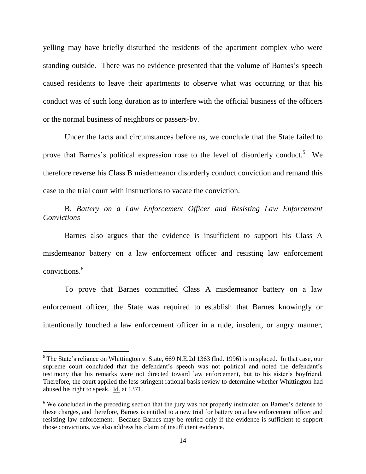yelling may have briefly disturbed the residents of the apartment complex who were standing outside. There was no evidence presented that the volume of Barnes"s speech caused residents to leave their apartments to observe what was occurring or that his conduct was of such long duration as to interfere with the official business of the officers or the normal business of neighbors or passers-by.

Under the facts and circumstances before us, we conclude that the State failed to prove that Barnes's political expression rose to the level of disorderly conduct.<sup>5</sup> We therefore reverse his Class B misdemeanor disorderly conduct conviction and remand this case to the trial court with instructions to vacate the conviction.

B. Battery on a Law Enforcement Officer and Resisting Law Enforcement *Convictions*

Barnes also argues that the evidence is insufficient to support his Class A misdemeanor battery on a law enforcement officer and resisting law enforcement convictions<sup>6</sup>

To prove that Barnes committed Class A misdemeanor battery on a law enforcement officer, the State was required to establish that Barnes knowingly or intentionally touched a law enforcement officer in a rude, insolent, or angry manner,

l

<sup>&</sup>lt;sup>5</sup> The State's reliance on Whittington v. State, 669 N.E.2d 1363 (Ind. 1996) is misplaced. In that case, our supreme court concluded that the defendant's speech was not political and noted the defendant's testimony that his remarks were not directed toward law enforcement, but to his sister's boyfriend. Therefore, the court applied the less stringent rational basis review to determine whether Whittington had abused his right to speak. Id. at 1371.

<sup>&</sup>lt;sup>6</sup> We concluded in the preceding section that the jury was not properly instructed on Barnes's defense to these charges, and therefore, Barnes is entitled to a new trial for battery on a law enforcement officer and resisting law enforcement. Because Barnes may be retried only if the evidence is sufficient to support those convictions, we also address his claim of insufficient evidence.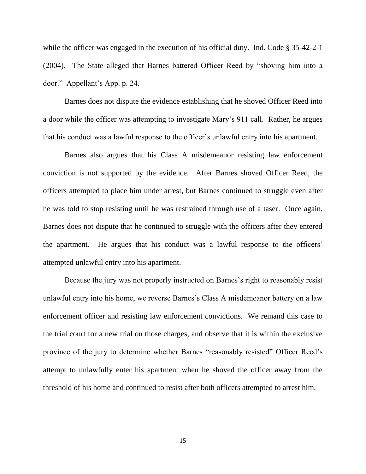while the officer was engaged in the execution of his official duty. Ind. Code § 35-42-2-1 (2004). The State alleged that Barnes battered Officer Reed by "shoving him into a door." Appellant"s App. p. 24.

Barnes does not dispute the evidence establishing that he shoved Officer Reed into a door while the officer was attempting to investigate Mary"s 911 call. Rather, he argues that his conduct was a lawful response to the officer"s unlawful entry into his apartment.

Barnes also argues that his Class A misdemeanor resisting law enforcement conviction is not supported by the evidence. After Barnes shoved Officer Reed, the officers attempted to place him under arrest, but Barnes continued to struggle even after he was told to stop resisting until he was restrained through use of a taser. Once again, Barnes does not dispute that he continued to struggle with the officers after they entered the apartment. He argues that his conduct was a lawful response to the officers' attempted unlawful entry into his apartment.

Because the jury was not properly instructed on Barnes"s right to reasonably resist unlawful entry into his home, we reverse Barnes's Class A misdemeanor battery on a law enforcement officer and resisting law enforcement convictions. We remand this case to the trial court for a new trial on those charges, and observe that it is within the exclusive province of the jury to determine whether Barnes "reasonably resisted" Officer Reed"s attempt to unlawfully enter his apartment when he shoved the officer away from the threshold of his home and continued to resist after both officers attempted to arrest him.